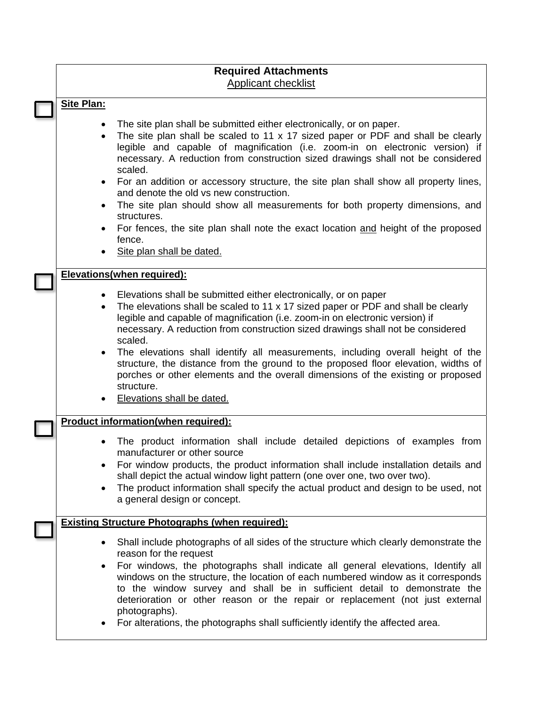# **Required Attachments**  Applicant checklist

#### **Site Plan:**

- The site plan shall be submitted either electronically, or on paper.
- The site plan shall be scaled to 11 x 17 sized paper or PDF and shall be clearly legible and capable of magnification (i.e. zoom-in on electronic version) if necessary. A reduction from construction sized drawings shall not be considered scaled.
- For an addition or accessory structure, the site plan shall show all property lines, and denote the old vs new construction.
- The site plan should show all measurements for both property dimensions, and structures.
- For fences, the site plan shall note the exact location and height of the proposed fence.
- Site plan shall be dated.

#### **Elevations(when required):**

- Elevations shall be submitted either electronically, or on paper
- The elevations shall be scaled to 11 x 17 sized paper or PDF and shall be clearly legible and capable of magnification (i.e. zoom-in on electronic version) if necessary. A reduction from construction sized drawings shall not be considered scaled.
- The elevations shall identify all measurements, including overall height of the structure, the distance from the ground to the proposed floor elevation, widths of porches or other elements and the overall dimensions of the existing or proposed structure.
- Elevations shall be dated.

#### **Product information(when required):**

- The product information shall include detailed depictions of examples from manufacturer or other source
- For window products, the product information shall include installation details and shall depict the actual window light pattern (one over one, two over two).
- The product information shall specify the actual product and design to be used, not a general design or concept.

### **Existing Structure Photographs (when required):**

- Shall include photographs of all sides of the structure which clearly demonstrate the reason for the request
- For windows, the photographs shall indicate all general elevations, Identify all windows on the structure, the location of each numbered window as it corresponds to the window survey and shall be in sufficient detail to demonstrate the deterioration or other reason or the repair or replacement (not just external photographs).
- For alterations, the photographs shall sufficiently identify the affected area.